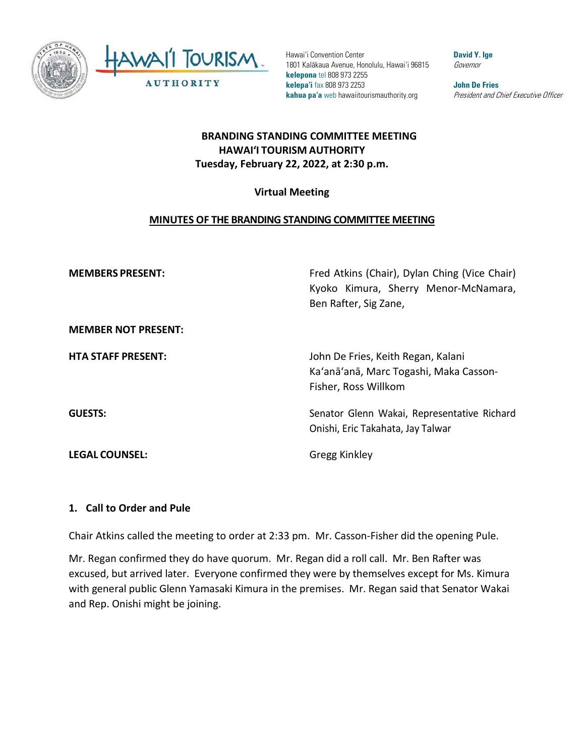

Hawai'i Convention Center 1801 Kalākaua Avenue, Honolulu, Hawai'i 96815 **kelepona** tel 808 973 2255 **kelepa'i** fax 808 973 2253 **kahua pa'a** web hawaiitourismauthority.org

**David Y. Ige** Governor

**John De Fries** President and Chief Executive Officer

## **BRANDING STANDING COMMITTEE MEETING HAWAI'I TOURISM AUTHORITY Tuesday, February 22, 2022, at 2:30 p.m.**

## **Virtual Meeting**

## **MINUTES OF THE BRANDING STANDING COMMITTEE MEETING**

**MEMBERS PRESENT:** Fred Atkins (Chair), Dylan Ching (Vice Chair) Kyoko Kimura, Sherry Menor-McNamara, Ben Rafter, Sig Zane,

**MEMBER NOT PRESENT:**

**LEGAL COUNSEL:** Gregg Kinkley

**HTA STAFF PRESENT:** John De Fries, Keith Regan, Kalani Ka'anā'anā, Marc Togashi, Maka Casson-Fisher, Ross Willkom

**GUESTS:** Senator Glenn Wakai, Representative Richard Onishi, Eric Takahata, Jay Talwar

#### **1. Call to Order and Pule**

Chair Atkins called the meeting to order at 2:33 pm. Mr. Casson-Fisher did the opening Pule.

Mr. Regan confirmed they do have quorum. Mr. Regan did a roll call. Mr. Ben Rafter was excused, but arrived later. Everyone confirmed they were by themselves except for Ms. Kimura with general public Glenn Yamasaki Kimura in the premises. Mr. Regan said that Senator Wakai and Rep. Onishi might be joining.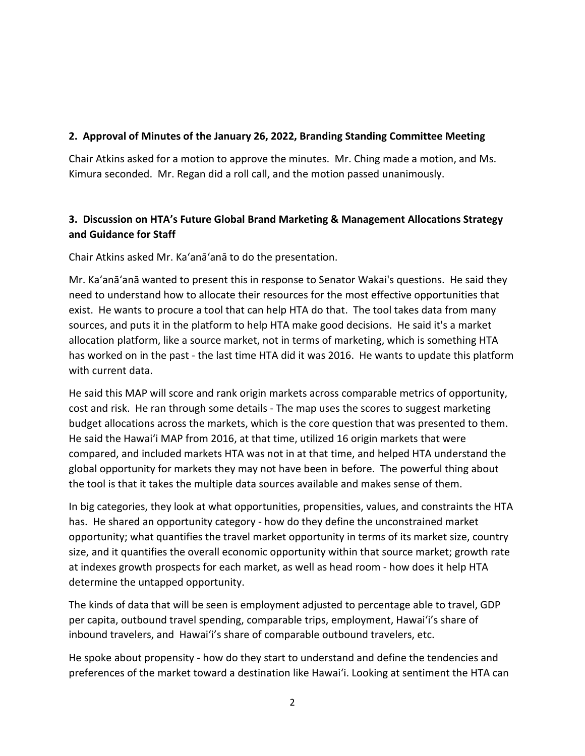#### **2. Approval of Minutes of the January 26, 2022, Branding Standing Committee Meeting**

Chair Atkins asked for a motion to approve the minutes. Mr. Ching made a motion, and Ms. Kimura seconded. Mr. Regan did a roll call, and the motion passed unanimously.

## **3. Discussion on HTA's Future Global Brand Marketing & Management Allocations Strategy and Guidance for Staff**

Chair Atkins asked Mr. Ka'anā'anā to do the presentation.

Mr. Ka'anā'anā wanted to present this in response to Senator Wakai's questions. He said they need to understand how to allocate their resources for the most effective opportunities that exist. He wants to procure a tool that can help HTA do that. The tool takes data from many sources, and puts it in the platform to help HTA make good decisions. He said it's a market allocation platform, like a source market, not in terms of marketing, which is something HTA has worked on in the past - the last time HTA did it was 2016. He wants to update this platform with current data.

He said this MAP will score and rank origin markets across comparable metrics of opportunity, cost and risk. He ran through some details - The map uses the scores to suggest marketing budget allocations across the markets, which is the core question that was presented to them. He said the Hawai'i MAP from 2016, at that time, utilized 16 origin markets that were compared, and included markets HTA was not in at that time, and helped HTA understand the global opportunity for markets they may not have been in before. The powerful thing about the tool is that it takes the multiple data sources available and makes sense of them.

In big categories, they look at what opportunities, propensities, values, and constraints the HTA has. He shared an opportunity category - how do they define the unconstrained market opportunity; what quantifies the travel market opportunity in terms of its market size, country size, and it quantifies the overall economic opportunity within that source market; growth rate at indexes growth prospects for each market, as well as head room - how does it help HTA determine the untapped opportunity.

The kinds of data that will be seen is employment adjusted to percentage able to travel, GDP per capita, outbound travel spending, comparable trips, employment, Hawai'i's share of inbound travelers, and Hawai'i's share of comparable outbound travelers, etc.

He spoke about propensity - how do they start to understand and define the tendencies and preferences of the market toward a destination like Hawai'i. Looking at sentiment the HTA can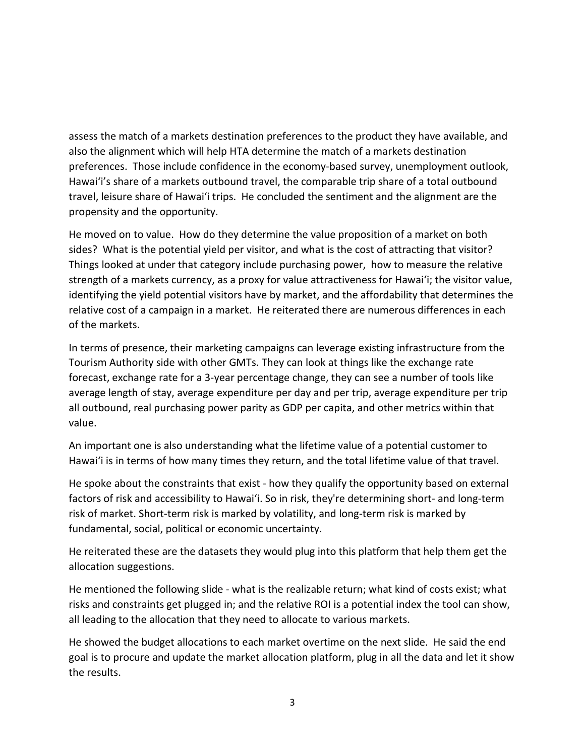assess the match of a markets destination preferences to the product they have available, and also the alignment which will help HTA determine the match of a markets destination preferences. Those include confidence in the economy-based survey, unemployment outlook, Hawai'i's share of a markets outbound travel, the comparable trip share of a total outbound travel, leisure share of Hawai'i trips. He concluded the sentiment and the alignment are the propensity and the opportunity.

He moved on to value. How do they determine the value proposition of a market on both sides? What is the potential yield per visitor, and what is the cost of attracting that visitor? Things looked at under that category include purchasing power, how to measure the relative strength of a markets currency, as a proxy for value attractiveness for Hawai'i; the visitor value, identifying the yield potential visitors have by market, and the affordability that determines the relative cost of a campaign in a market. He reiterated there are numerous differences in each of the markets.

In terms of presence, their marketing campaigns can leverage existing infrastructure from the Tourism Authority side with other GMTs. They can look at things like the exchange rate forecast, exchange rate for a 3-year percentage change, they can see a number of tools like average length of stay, average expenditure per day and per trip, average expenditure per trip all outbound, real purchasing power parity as GDP per capita, and other metrics within that value.

An important one is also understanding what the lifetime value of a potential customer to Hawai'i is in terms of how many times they return, and the total lifetime value of that travel.

He spoke about the constraints that exist - how they qualify the opportunity based on external factors of risk and accessibility to Hawai'i. So in risk, they're determining short- and long-term risk of market. Short-term risk is marked by volatility, and long-term risk is marked by fundamental, social, political or economic uncertainty.

He reiterated these are the datasets they would plug into this platform that help them get the allocation suggestions.

He mentioned the following slide - what is the realizable return; what kind of costs exist; what risks and constraints get plugged in; and the relative ROI is a potential index the tool can show, all leading to the allocation that they need to allocate to various markets.

He showed the budget allocations to each market overtime on the next slide. He said the end goal is to procure and update the market allocation platform, plug in all the data and let it show the results.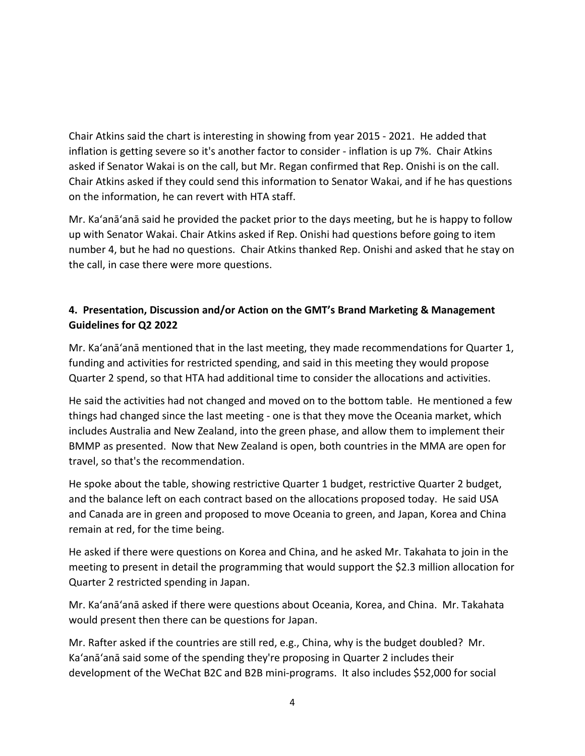Chair Atkins said the chart is interesting in showing from year 2015 - 2021. He added that inflation is getting severe so it's another factor to consider - inflation is up 7%. Chair Atkins asked if Senator Wakai is on the call, but Mr. Regan confirmed that Rep. Onishi is on the call. Chair Atkins asked if they could send this information to Senator Wakai, and if he has questions on the information, he can revert with HTA staff.

Mr. Ka'anā'anā said he provided the packet prior to the days meeting, but he is happy to follow up with Senator Wakai. Chair Atkins asked if Rep. Onishi had questions before going to item number 4, but he had no questions. Chair Atkins thanked Rep. Onishi and asked that he stay on the call, in case there were more questions.

# **4. Presentation, Discussion and/or Action on the GMT's Brand Marketing & Management Guidelines for Q2 2022**

Mr. Ka'anā'anā mentioned that in the last meeting, they made recommendations for Quarter 1, funding and activities for restricted spending, and said in this meeting they would propose Quarter 2 spend, so that HTA had additional time to consider the allocations and activities.

He said the activities had not changed and moved on to the bottom table. He mentioned a few things had changed since the last meeting - one is that they move the Oceania market, which includes Australia and New Zealand, into the green phase, and allow them to implement their BMMP as presented. Now that New Zealand is open, both countries in the MMA are open for travel, so that's the recommendation.

He spoke about the table, showing restrictive Quarter 1 budget, restrictive Quarter 2 budget, and the balance left on each contract based on the allocations proposed today. He said USA and Canada are in green and proposed to move Oceania to green, and Japan, Korea and China remain at red, for the time being.

He asked if there were questions on Korea and China, and he asked Mr. Takahata to join in the meeting to present in detail the programming that would support the \$2.3 million allocation for Quarter 2 restricted spending in Japan.

Mr. Ka'anā'anā asked if there were questions about Oceania, Korea, and China. Mr. Takahata would present then there can be questions for Japan.

Mr. Rafter asked if the countries are still red, e.g., China, why is the budget doubled? Mr. Ka'anā'anā said some of the spending they're proposing in Quarter 2 includes their development of the WeChat B2C and B2B mini-programs. It also includes \$52,000 for social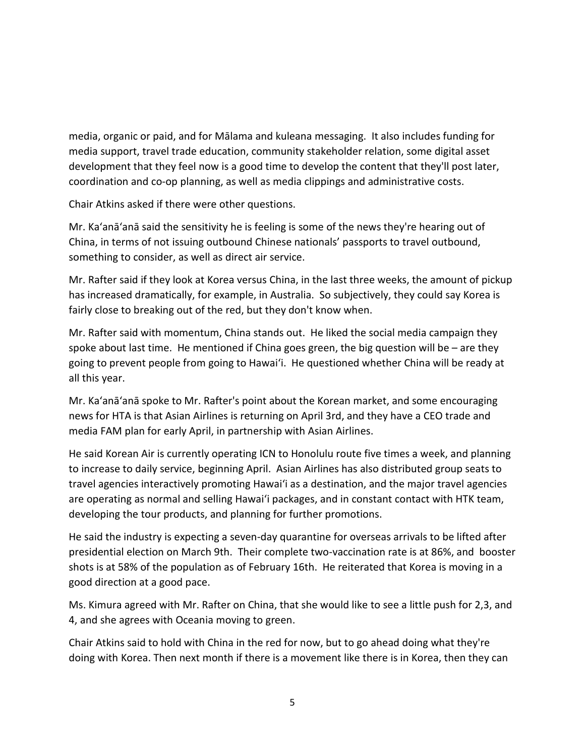media, organic or paid, and for Mālama and kuleana messaging. It also includes funding for media support, travel trade education, community stakeholder relation, some digital asset development that they feel now is a good time to develop the content that they'll post later, coordination and co-op planning, as well as media clippings and administrative costs.

Chair Atkins asked if there were other questions.

Mr. Ka'anā'anā said the sensitivity he is feeling is some of the news they're hearing out of China, in terms of not issuing outbound Chinese nationals' passports to travel outbound, something to consider, as well as direct air service.

Mr. Rafter said if they look at Korea versus China, in the last three weeks, the amount of pickup has increased dramatically, for example, in Australia. So subjectively, they could say Korea is fairly close to breaking out of the red, but they don't know when.

Mr. Rafter said with momentum, China stands out. He liked the social media campaign they spoke about last time. He mentioned if China goes green, the big question will be – are they going to prevent people from going to Hawai'i. He questioned whether China will be ready at all this year.

Mr. Ka'anā'anā spoke to Mr. Rafter's point about the Korean market, and some encouraging news for HTA is that Asian Airlines is returning on April 3rd, and they have a CEO trade and media FAM plan for early April, in partnership with Asian Airlines.

He said Korean Air is currently operating ICN to Honolulu route five times a week, and planning to increase to daily service, beginning April. Asian Airlines has also distributed group seats to travel agencies interactively promoting Hawai'i as a destination, and the major travel agencies are operating as normal and selling Hawai'i packages, and in constant contact with HTK team, developing the tour products, and planning for further promotions.

He said the industry is expecting a seven-day quarantine for overseas arrivals to be lifted after presidential election on March 9th. Their complete two-vaccination rate is at 86%, and booster shots is at 58% of the population as of February 16th. He reiterated that Korea is moving in a good direction at a good pace.

Ms. Kimura agreed with Mr. Rafter on China, that she would like to see a little push for 2,3, and 4, and she agrees with Oceania moving to green.

Chair Atkins said to hold with China in the red for now, but to go ahead doing what they're doing with Korea. Then next month if there is a movement like there is in Korea, then they can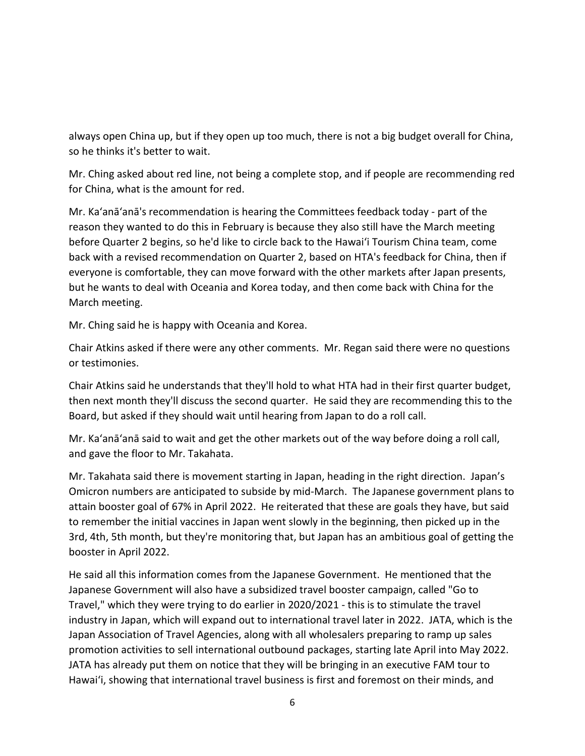always open China up, but if they open up too much, there is not a big budget overall for China, so he thinks it's better to wait.

Mr. Ching asked about red line, not being a complete stop, and if people are recommending red for China, what is the amount for red.

Mr. Ka'anā'anā's recommendation is hearing the Committees feedback today - part of the reason they wanted to do this in February is because they also still have the March meeting before Quarter 2 begins, so he'd like to circle back to the Hawai'i Tourism China team, come back with a revised recommendation on Quarter 2, based on HTA's feedback for China, then if everyone is comfortable, they can move forward with the other markets after Japan presents, but he wants to deal with Oceania and Korea today, and then come back with China for the March meeting.

Mr. Ching said he is happy with Oceania and Korea.

Chair Atkins asked if there were any other comments. Mr. Regan said there were no questions or testimonies.

Chair Atkins said he understands that they'll hold to what HTA had in their first quarter budget, then next month they'll discuss the second quarter. He said they are recommending this to the Board, but asked if they should wait until hearing from Japan to do a roll call.

Mr. Ka'anā'anā said to wait and get the other markets out of the way before doing a roll call, and gave the floor to Mr. Takahata.

Mr. Takahata said there is movement starting in Japan, heading in the right direction. Japan's Omicron numbers are anticipated to subside by mid-March. The Japanese government plans to attain booster goal of 67% in April 2022. He reiterated that these are goals they have, but said to remember the initial vaccines in Japan went slowly in the beginning, then picked up in the 3rd, 4th, 5th month, but they're monitoring that, but Japan has an ambitious goal of getting the booster in April 2022.

He said all this information comes from the Japanese Government. He mentioned that the Japanese Government will also have a subsidized travel booster campaign, called "Go to Travel," which they were trying to do earlier in 2020/2021 - this is to stimulate the travel industry in Japan, which will expand out to international travel later in 2022. JATA, which is the Japan Association of Travel Agencies, along with all wholesalers preparing to ramp up sales promotion activities to sell international outbound packages, starting late April into May 2022. JATA has already put them on notice that they will be bringing in an executive FAM tour to Hawaiʻi, showing that international travel business is first and foremost on their minds, and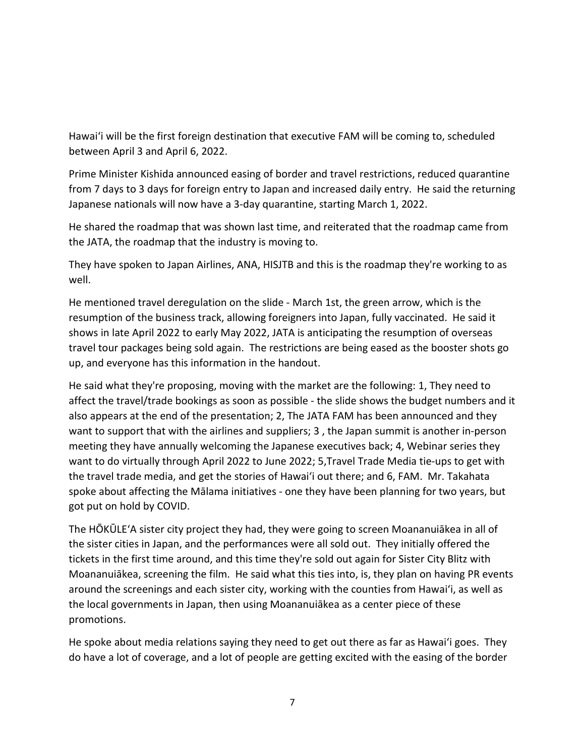Hawai'i will be the first foreign destination that executive FAM will be coming to, scheduled between April 3 and April 6, 2022.

Prime Minister Kishida announced easing of border and travel restrictions, reduced quarantine from 7 days to 3 days for foreign entry to Japan and increased daily entry. He said the returning Japanese nationals will now have a 3-day quarantine, starting March 1, 2022.

He shared the roadmap that was shown last time, and reiterated that the roadmap came from the JATA, the roadmap that the industry is moving to.

They have spoken to Japan Airlines, ANA, HISJTB and this is the roadmap they're working to as well.

He mentioned travel deregulation on the slide - March 1st, the green arrow, which is the resumption of the business track, allowing foreigners into Japan, fully vaccinated. He said it shows in late April 2022 to early May 2022, JATA is anticipating the resumption of overseas travel tour packages being sold again. The restrictions are being eased as the booster shots go up, and everyone has this information in the handout.

He said what they're proposing, moving with the market are the following: 1, They need to affect the travel/trade bookings as soon as possible - the slide shows the budget numbers and it also appears at the end of the presentation; 2, The JATA FAM has been announced and they want to support that with the airlines and suppliers; 3 , the Japan summit is another in-person meeting they have annually welcoming the Japanese executives back; 4, Webinar series they want to do virtually through April 2022 to June 2022; 5,Travel Trade Media tie-ups to get with the travel trade media, and get the stories of Hawai'i out there; and 6, FAM. Mr. Takahata spoke about affecting the Mālama initiatives - one they have been planning for two years, but got put on hold by COVID.

The HŌKŪLEʻA sister city project they had, they were going to screen Moananuiākea in all of the sister cities in Japan, and the performances were all sold out. They initially offered the tickets in the first time around, and this time they're sold out again for Sister City Blitz with Moananuiākea, screening the film. He said what this ties into, is, they plan on having PR events around the screenings and each sister city, working with the counties from Hawai'i, as well as the local governments in Japan, then using Moananuiākea as a center piece of these promotions.

He spoke about media relations saying they need to get out there as far as Hawai'i goes. They do have a lot of coverage, and a lot of people are getting excited with the easing of the border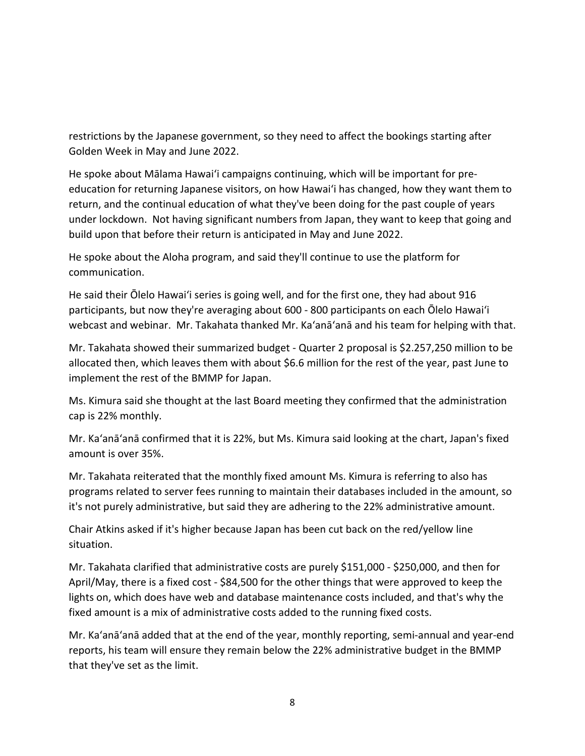restrictions by the Japanese government, so they need to affect the bookings starting after Golden Week in May and June 2022.

He spoke about Mālama Hawai'i campaigns continuing, which will be important for preeducation for returning Japanese visitors, on how Hawai'i has changed, how they want them to return, and the continual education of what they've been doing for the past couple of years under lockdown. Not having significant numbers from Japan, they want to keep that going and build upon that before their return is anticipated in May and June 2022.

He spoke about the Aloha program, and said they'll continue to use the platform for communication.

He said their Ōlelo Hawaiʻi series is going well, and for the first one, they had about 916 participants, but now they're averaging about 600 - 800 participants on each Ōlelo Hawaiʻi webcast and webinar. Mr. Takahata thanked Mr. Ka'anā'anā and his team for helping with that.

Mr. Takahata showed their summarized budget - Quarter 2 proposal is \$2.257,250 million to be allocated then, which leaves them with about \$6.6 million for the rest of the year, past June to implement the rest of the BMMP for Japan.

Ms. Kimura said she thought at the last Board meeting they confirmed that the administration cap is 22% monthly.

Mr. Ka'anā'anā confirmed that it is 22%, but Ms. Kimura said looking at the chart, Japan's fixed amount is over 35%.

Mr. Takahata reiterated that the monthly fixed amount Ms. Kimura is referring to also has programs related to server fees running to maintain their databases included in the amount, so it's not purely administrative, but said they are adhering to the 22% administrative amount.

Chair Atkins asked if it's higher because Japan has been cut back on the red/yellow line situation.

Mr. Takahata clarified that administrative costs are purely \$151,000 - \$250,000, and then for April/May, there is a fixed cost - \$84,500 for the other things that were approved to keep the lights on, which does have web and database maintenance costs included, and that's why the fixed amount is a mix of administrative costs added to the running fixed costs.

Mr. Ka'anā'anā added that at the end of the year, monthly reporting, semi-annual and year-end reports, his team will ensure they remain below the 22% administrative budget in the BMMP that they've set as the limit.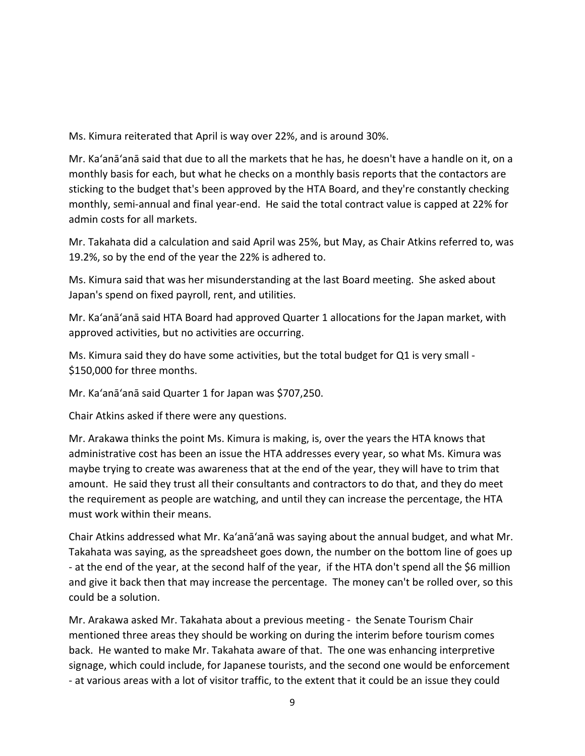Ms. Kimura reiterated that April is way over 22%, and is around 30%.

Mr. Ka'anā'anā said that due to all the markets that he has, he doesn't have a handle on it, on a monthly basis for each, but what he checks on a monthly basis reports that the contactors are sticking to the budget that's been approved by the HTA Board, and they're constantly checking monthly, semi-annual and final year-end. He said the total contract value is capped at 22% for admin costs for all markets.

Mr. Takahata did a calculation and said April was 25%, but May, as Chair Atkins referred to, was 19.2%, so by the end of the year the 22% is adhered to.

Ms. Kimura said that was her misunderstanding at the last Board meeting. She asked about Japan's spend on fixed payroll, rent, and utilities.

Mr. Ka'anā'anā said HTA Board had approved Quarter 1 allocations for the Japan market, with approved activities, but no activities are occurring.

Ms. Kimura said they do have some activities, but the total budget for Q1 is very small - \$150,000 for three months.

Mr. Ka'anā'anā said Quarter 1 for Japan was \$707,250.

Chair Atkins asked if there were any questions.

Mr. Arakawa thinks the point Ms. Kimura is making, is, over the years the HTA knows that administrative cost has been an issue the HTA addresses every year, so what Ms. Kimura was maybe trying to create was awareness that at the end of the year, they will have to trim that amount. He said they trust all their consultants and contractors to do that, and they do meet the requirement as people are watching, and until they can increase the percentage, the HTA must work within their means.

Chair Atkins addressed what Mr. Ka'anā'anā was saying about the annual budget, and what Mr. Takahata was saying, as the spreadsheet goes down, the number on the bottom line of goes up - at the end of the year, at the second half of the year, if the HTA don't spend all the \$6 million and give it back then that may increase the percentage. The money can't be rolled over, so this could be a solution.

Mr. Arakawa asked Mr. Takahata about a previous meeting - the Senate Tourism Chair mentioned three areas they should be working on during the interim before tourism comes back. He wanted to make Mr. Takahata aware of that. The one was enhancing interpretive signage, which could include, for Japanese tourists, and the second one would be enforcement - at various areas with a lot of visitor traffic, to the extent that it could be an issue they could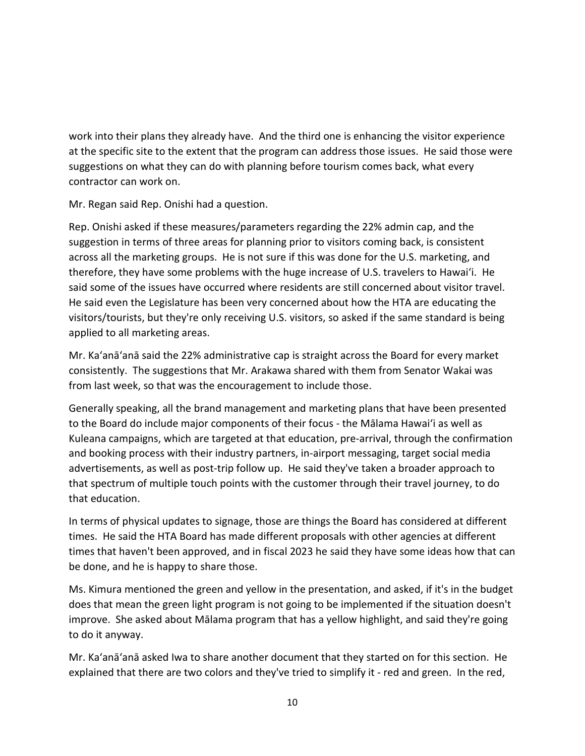work into their plans they already have. And the third one is enhancing the visitor experience at the specific site to the extent that the program can address those issues. He said those were suggestions on what they can do with planning before tourism comes back, what every contractor can work on.

Mr. Regan said Rep. Onishi had a question.

Rep. Onishi asked if these measures/parameters regarding the 22% admin cap, and the suggestion in terms of three areas for planning prior to visitors coming back, is consistent across all the marketing groups. He is not sure if this was done for the U.S. marketing, and therefore, they have some problems with the huge increase of U.S. travelers to Hawai'i. He said some of the issues have occurred where residents are still concerned about visitor travel. He said even the Legislature has been very concerned about how the HTA are educating the visitors/tourists, but they're only receiving U.S. visitors, so asked if the same standard is being applied to all marketing areas.

Mr. Ka'anā'anā said the 22% administrative cap is straight across the Board for every market consistently. The suggestions that Mr. Arakawa shared with them from Senator Wakai was from last week, so that was the encouragement to include those.

Generally speaking, all the brand management and marketing plans that have been presented to the Board do include major components of their focus - the Mālama Hawai'i as well as Kuleana campaigns, which are targeted at that education, pre-arrival, through the confirmation and booking process with their industry partners, in-airport messaging, target social media advertisements, as well as post-trip follow up. He said they've taken a broader approach to that spectrum of multiple touch points with the customer through their travel journey, to do that education.

In terms of physical updates to signage, those are things the Board has considered at different times. He said the HTA Board has made different proposals with other agencies at different times that haven't been approved, and in fiscal 2023 he said they have some ideas how that can be done, and he is happy to share those.

Ms. Kimura mentioned the green and yellow in the presentation, and asked, if it's in the budget does that mean the green light program is not going to be implemented if the situation doesn't improve. She asked about Mālama program that has a yellow highlight, and said they're going to do it anyway.

Mr. Ka'anā'anā asked Iwa to share another document that they started on for this section. He explained that there are two colors and they've tried to simplify it - red and green. In the red,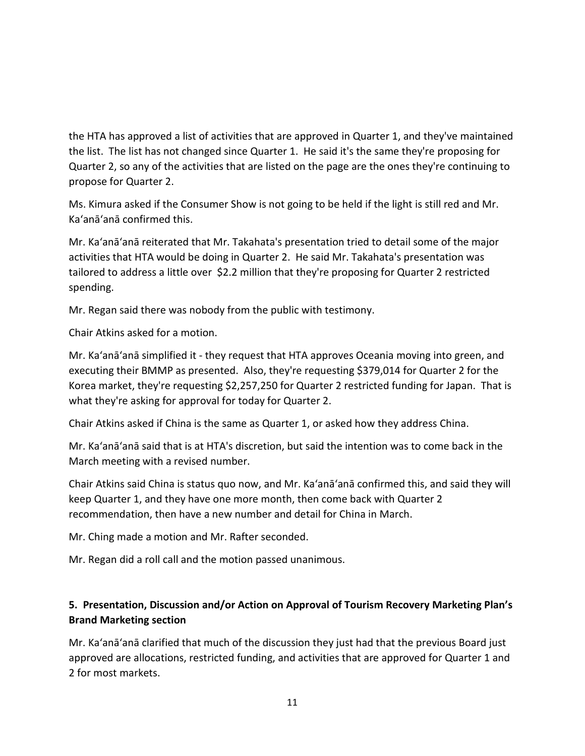the HTA has approved a list of activities that are approved in Quarter 1, and they've maintained the list. The list has not changed since Quarter 1. He said it's the same they're proposing for Quarter 2, so any of the activities that are listed on the page are the ones they're continuing to propose for Quarter 2.

Ms. Kimura asked if the Consumer Show is not going to be held if the light is still red and Mr. Ka'anā'anā confirmed this.

Mr. Ka'anā'anā reiterated that Mr. Takahata's presentation tried to detail some of the major activities that HTA would be doing in Quarter 2. He said Mr. Takahata's presentation was tailored to address a little over \$2.2 million that they're proposing for Quarter 2 restricted spending.

Mr. Regan said there was nobody from the public with testimony.

Chair Atkins asked for a motion.

Mr. Ka'anā'anā simplified it - they request that HTA approves Oceania moving into green, and executing their BMMP as presented. Also, they're requesting \$379,014 for Quarter 2 for the Korea market, they're requesting \$2,257,250 for Quarter 2 restricted funding for Japan. That is what they're asking for approval for today for Quarter 2.

Chair Atkins asked if China is the same as Quarter 1, or asked how they address China.

Mr. Ka'anā'anā said that is at HTA's discretion, but said the intention was to come back in the March meeting with a revised number.

Chair Atkins said China is status quo now, and Mr. Ka'anā'anā confirmed this, and said they will keep Quarter 1, and they have one more month, then come back with Quarter 2 recommendation, then have a new number and detail for China in March.

Mr. Ching made a motion and Mr. Rafter seconded.

Mr. Regan did a roll call and the motion passed unanimous.

# **5. Presentation, Discussion and/or Action on Approval of Tourism Recovery Marketing Plan's Brand Marketing section**

Mr. Ka'anā'anā clarified that much of the discussion they just had that the previous Board just approved are allocations, restricted funding, and activities that are approved for Quarter 1 and 2 for most markets.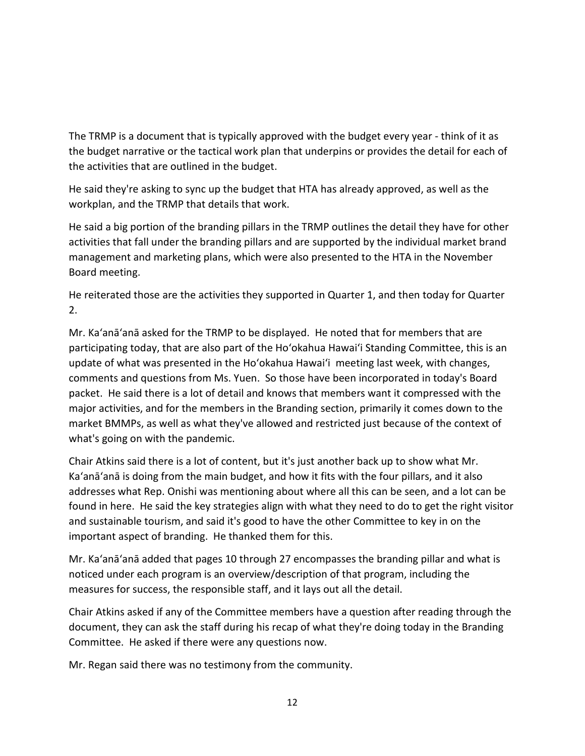The TRMP is a document that is typically approved with the budget every year - think of it as the budget narrative or the tactical work plan that underpins or provides the detail for each of the activities that are outlined in the budget.

He said they're asking to sync up the budget that HTA has already approved, as well as the workplan, and the TRMP that details that work.

He said a big portion of the branding pillars in the TRMP outlines the detail they have for other activities that fall under the branding pillars and are supported by the individual market brand management and marketing plans, which were also presented to the HTA in the November Board meeting.

He reiterated those are the activities they supported in Quarter 1, and then today for Quarter 2.

Mr. Ka'anā'anā asked for the TRMP to be displayed. He noted that for members that are participating today, that are also part of the Ho'okahua Hawai'i Standing Committee, this is an update of what was presented in the Ho'okahua Hawai'i meeting last week, with changes, comments and questions from Ms. Yuen. So those have been incorporated in today's Board packet. He said there is a lot of detail and knows that members want it compressed with the major activities, and for the members in the Branding section, primarily it comes down to the market BMMPs, as well as what they've allowed and restricted just because of the context of what's going on with the pandemic.

Chair Atkins said there is a lot of content, but it's just another back up to show what Mr. Ka'anā'anā is doing from the main budget, and how it fits with the four pillars, and it also addresses what Rep. Onishi was mentioning about where all this can be seen, and a lot can be found in here. He said the key strategies align with what they need to do to get the right visitor and sustainable tourism, and said it's good to have the other Committee to key in on the important aspect of branding. He thanked them for this.

Mr. Ka'anā'anā added that pages 10 through 27 encompasses the branding pillar and what is noticed under each program is an overview/description of that program, including the measures for success, the responsible staff, and it lays out all the detail.

Chair Atkins asked if any of the Committee members have a question after reading through the document, they can ask the staff during his recap of what they're doing today in the Branding Committee. He asked if there were any questions now.

Mr. Regan said there was no testimony from the community.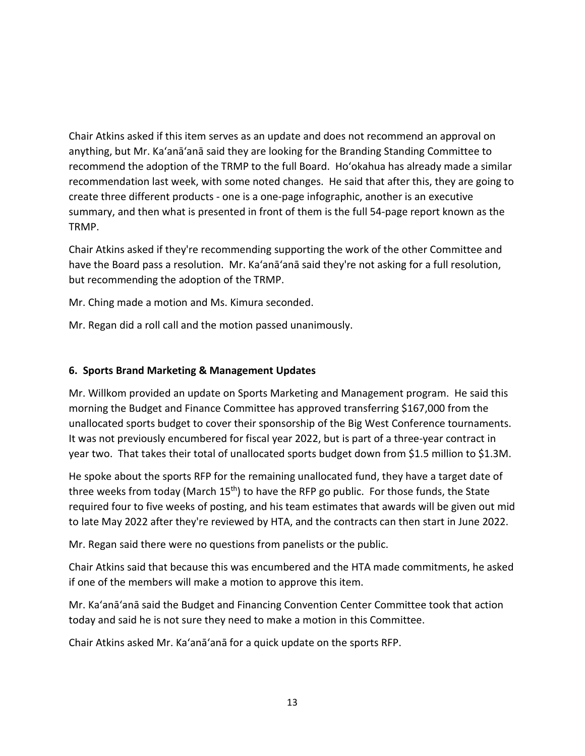Chair Atkins asked if this item serves as an update and does not recommend an approval on anything, but Mr. Ka'anā'anā said they are looking for the Branding Standing Committee to recommend the adoption of the TRMP to the full Board. Ho'okahua has already made a similar recommendation last week, with some noted changes. He said that after this, they are going to create three different products - one is a one-page infographic, another is an executive summary, and then what is presented in front of them is the full 54-page report known as the TRMP.

Chair Atkins asked if they're recommending supporting the work of the other Committee and have the Board pass a resolution. Mr. Ka'anā'anā said they're not asking for a full resolution, but recommending the adoption of the TRMP.

Mr. Ching made a motion and Ms. Kimura seconded.

Mr. Regan did a roll call and the motion passed unanimously.

#### **6. Sports Brand Marketing & Management Updates**

Mr. Willkom provided an update on Sports Marketing and Management program. He said this morning the Budget and Finance Committee has approved transferring \$167,000 from the unallocated sports budget to cover their sponsorship of the Big West Conference tournaments. It was not previously encumbered for fiscal year 2022, but is part of a three-year contract in year two. That takes their total of unallocated sports budget down from \$1.5 million to \$1.3M.

He spoke about the sports RFP for the remaining unallocated fund, they have a target date of three weeks from today (March 15<sup>th</sup>) to have the RFP go public. For those funds, the State required four to five weeks of posting, and his team estimates that awards will be given out mid to late May 2022 after they're reviewed by HTA, and the contracts can then start in June 2022.

Mr. Regan said there were no questions from panelists or the public.

Chair Atkins said that because this was encumbered and the HTA made commitments, he asked if one of the members will make a motion to approve this item.

Mr. Ka'anā'anā said the Budget and Financing Convention Center Committee took that action today and said he is not sure they need to make a motion in this Committee.

Chair Atkins asked Mr. Ka'anā'anā for a quick update on the sports RFP.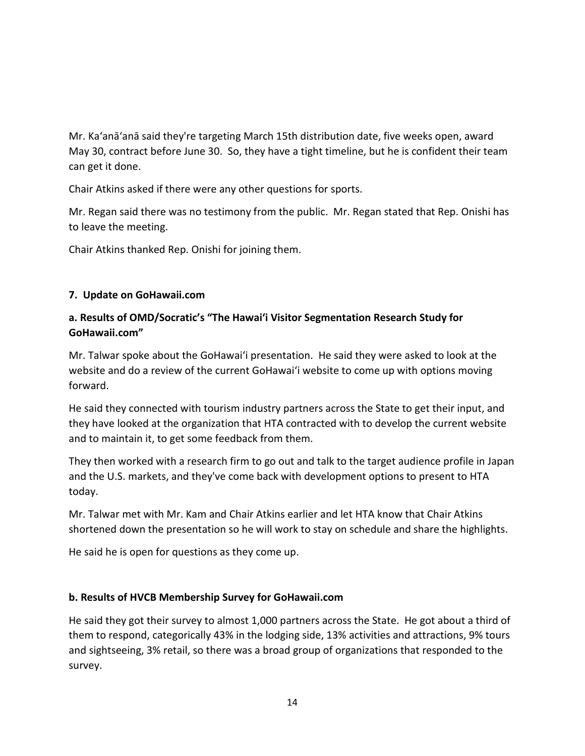Mr. Ka'anā'anā said they're targeting March 15th distribution date, five weeks open, award May 30, contract before June 30. So, they have a tight timeline, but he is confident their team can get it done.

Chair Atkins asked if there were any other questions for sports.

Mr. Regan said there was no testimony from the public. Mr. Regan stated that Rep. Onishi has to leave the meeting.

Chair Atkins thanked Rep. Onishi for joining them.

#### **7. Update on GoHawaii.com**

## **a. Results of OMD/Socratic's "The Hawaiʻi Visitor Segmentation Research Study for GoHawaii.com"**

Mr. Talwar spoke about the GoHawai'i presentation. He said they were asked to look at the website and do a review of the current GoHawai'i website to come up with options moving forward.

He said they connected with tourism industry partners across the State to get their input, and they have looked at the organization that HTA contracted with to develop the current website and to maintain it, to get some feedback from them.

They then worked with a research firm to go out and talk to the target audience profile in Japan and the U.S. markets, and they've come back with development options to present to HTA today.

Mr. Talwar met with Mr. Kam and Chair Atkins earlier and let HTA know that Chair Atkins shortened down the presentation so he will work to stay on schedule and share the highlights.

He said he is open for questions as they come up.

#### **b. Results of HVCB Membership Survey for GoHawaii.com**

He said they got their survey to almost 1,000 partners across the State. He got about a third of them to respond, categorically 43% in the lodging side, 13% activities and attractions, 9% tours and sightseeing, 3% retail, so there was a broad group of organizations that responded to the survey.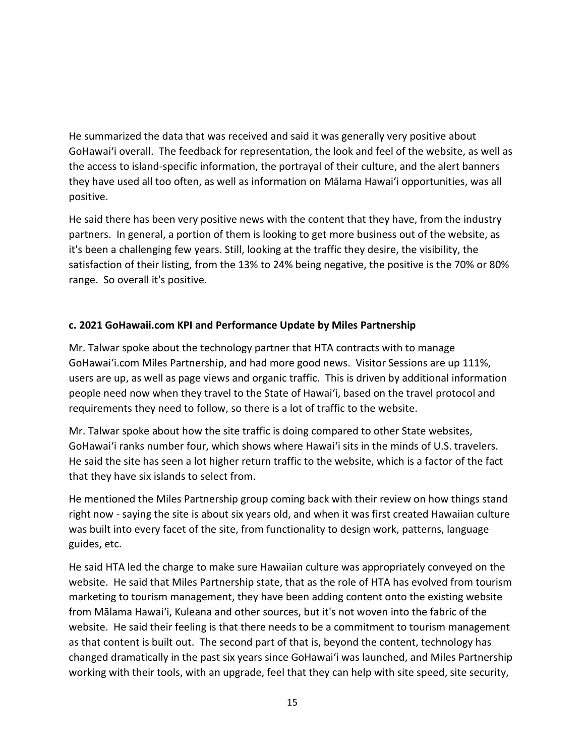He summarized the data that was received and said it was generally very positive about GoHawai'i overall. The feedback for representation, the look and feel of the website, as well as the access to island-specific information, the portrayal of their culture, and the alert banners they have used all too often, as well as information on Mālama Hawai'i opportunities, was all positive.

He said there has been very positive news with the content that they have, from the industry partners. In general, a portion of them is looking to get more business out of the website, as it's been a challenging few years. Still, looking at the traffic they desire, the visibility, the satisfaction of their listing, from the 13% to 24% being negative, the positive is the 70% or 80% range. So overall it's positive.

#### **c. 2021 GoHawaii.com KPI and Performance Update by Miles Partnership**

Mr. Talwar spoke about the technology partner that HTA contracts with to manage GoHawai'i.com Miles Partnership, and had more good news. Visitor Sessions are up 111%, users are up, as well as page views and organic traffic. This is driven by additional information people need now when they travel to the State of Hawai'i, based on the travel protocol and requirements they need to follow, so there is a lot of traffic to the website.

Mr. Talwar spoke about how the site traffic is doing compared to other State websites, GoHawai'i ranks number four, which shows where Hawai'i sits in the minds of U.S. travelers. He said the site has seen a lot higher return traffic to the website, which is a factor of the fact that they have six islands to select from.

He mentioned the Miles Partnership group coming back with their review on how things stand right now - saying the site is about six years old, and when it was first created Hawaiian culture was built into every facet of the site, from functionality to design work, patterns, language guides, etc.

He said HTA led the charge to make sure Hawaiian culture was appropriately conveyed on the website. He said that Miles Partnership state, that as the role of HTA has evolved from tourism marketing to tourism management, they have been adding content onto the existing website from Mālama Hawai'i, Kuleana and other sources, but it's not woven into the fabric of the website. He said their feeling is that there needs to be a commitment to tourism management as that content is built out. The second part of that is, beyond the content, technology has changed dramatically in the past six years since GoHawai'i was launched, and Miles Partnership working with their tools, with an upgrade, feel that they can help with site speed, site security,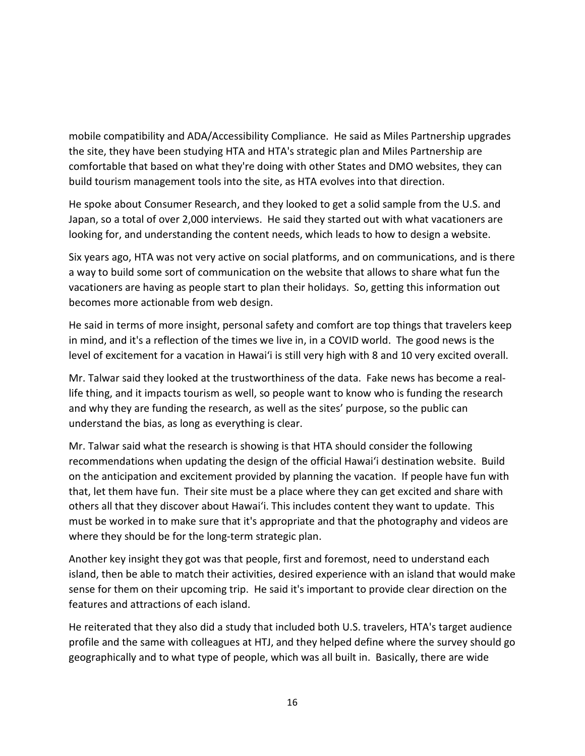mobile compatibility and ADA/Accessibility Compliance. He said as Miles Partnership upgrades the site, they have been studying HTA and HTA's strategic plan and Miles Partnership are comfortable that based on what they're doing with other States and DMO websites, they can build tourism management tools into the site, as HTA evolves into that direction.

He spoke about Consumer Research, and they looked to get a solid sample from the U.S. and Japan, so a total of over 2,000 interviews. He said they started out with what vacationers are looking for, and understanding the content needs, which leads to how to design a website.

Six years ago, HTA was not very active on social platforms, and on communications, and is there a way to build some sort of communication on the website that allows to share what fun the vacationers are having as people start to plan their holidays. So, getting this information out becomes more actionable from web design.

He said in terms of more insight, personal safety and comfort are top things that travelers keep in mind, and it's a reflection of the times we live in, in a COVID world. The good news is the level of excitement for a vacation in Hawai'i is still very high with 8 and 10 very excited overall.

Mr. Talwar said they looked at the trustworthiness of the data. Fake news has become a reallife thing, and it impacts tourism as well, so people want to know who is funding the research and why they are funding the research, as well as the sites' purpose, so the public can understand the bias, as long as everything is clear.

Mr. Talwar said what the research is showing is that HTA should consider the following recommendations when updating the design of the official Hawai'i destination website. Build on the anticipation and excitement provided by planning the vacation. If people have fun with that, let them have fun. Their site must be a place where they can get excited and share with others all that they discover about Hawai'i. This includes content they want to update. This must be worked in to make sure that it's appropriate and that the photography and videos are where they should be for the long-term strategic plan.

Another key insight they got was that people, first and foremost, need to understand each island, then be able to match their activities, desired experience with an island that would make sense for them on their upcoming trip. He said it's important to provide clear direction on the features and attractions of each island.

He reiterated that they also did a study that included both U.S. travelers, HTA's target audience profile and the same with colleagues at HTJ, and they helped define where the survey should go geographically and to what type of people, which was all built in. Basically, there are wide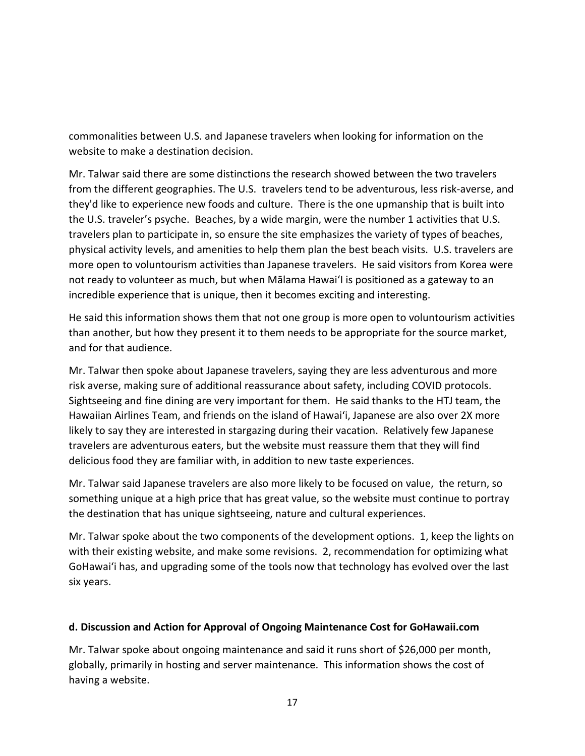commonalities between U.S. and Japanese travelers when looking for information on the website to make a destination decision.

Mr. Talwar said there are some distinctions the research showed between the two travelers from the different geographies. The U.S. travelers tend to be adventurous, less risk-averse, and they'd like to experience new foods and culture. There is the one upmanship that is built into the U.S. traveler's psyche. Beaches, by a wide margin, were the number 1 activities that U.S. travelers plan to participate in, so ensure the site emphasizes the variety of types of beaches, physical activity levels, and amenities to help them plan the best beach visits. U.S. travelers are more open to voluntourism activities than Japanese travelers. He said visitors from Korea were not ready to volunteer as much, but when Mālama Hawai'I is positioned as a gateway to an incredible experience that is unique, then it becomes exciting and interesting.

He said this information shows them that not one group is more open to voluntourism activities than another, but how they present it to them needs to be appropriate for the source market, and for that audience.

Mr. Talwar then spoke about Japanese travelers, saying they are less adventurous and more risk averse, making sure of additional reassurance about safety, including COVID protocols. Sightseeing and fine dining are very important for them. He said thanks to the HTJ team, the Hawaiian Airlines Team, and friends on the island of Hawai'i, Japanese are also over 2X more likely to say they are interested in stargazing during their vacation. Relatively few Japanese travelers are adventurous eaters, but the website must reassure them that they will find delicious food they are familiar with, in addition to new taste experiences.

Mr. Talwar said Japanese travelers are also more likely to be focused on value, the return, so something unique at a high price that has great value, so the website must continue to portray the destination that has unique sightseeing, nature and cultural experiences.

Mr. Talwar spoke about the two components of the development options. 1, keep the lights on with their existing website, and make some revisions. 2, recommendation for optimizing what GoHawai'i has, and upgrading some of the tools now that technology has evolved over the last six years.

#### **d. Discussion and Action for Approval of Ongoing Maintenance Cost for GoHawaii.com**

Mr. Talwar spoke about ongoing maintenance and said it runs short of \$26,000 per month, globally, primarily in hosting and server maintenance. This information shows the cost of having a website.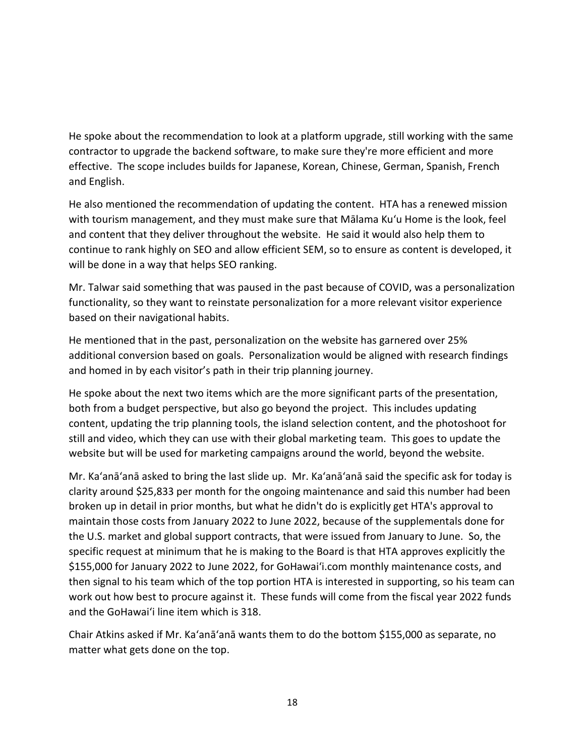He spoke about the recommendation to look at a platform upgrade, still working with the same contractor to upgrade the backend software, to make sure they're more efficient and more effective. The scope includes builds for Japanese, Korean, Chinese, German, Spanish, French and English.

He also mentioned the recommendation of updating the content. HTA has a renewed mission with tourism management, and they must make sure that Mālama Kuʻu Home is the look, feel and content that they deliver throughout the website. He said it would also help them to continue to rank highly on SEO and allow efficient SEM, so to ensure as content is developed, it will be done in a way that helps SEO ranking.

Mr. Talwar said something that was paused in the past because of COVID, was a personalization functionality, so they want to reinstate personalization for a more relevant visitor experience based on their navigational habits.

He mentioned that in the past, personalization on the website has garnered over 25% additional conversion based on goals. Personalization would be aligned with research findings and homed in by each visitor's path in their trip planning journey.

He spoke about the next two items which are the more significant parts of the presentation, both from a budget perspective, but also go beyond the project. This includes updating content, updating the trip planning tools, the island selection content, and the photoshoot for still and video, which they can use with their global marketing team. This goes to update the website but will be used for marketing campaigns around the world, beyond the website.

Mr. Ka'anā'anā asked to bring the last slide up. Mr. Ka'anā'anā said the specific ask for today is clarity around \$25,833 per month for the ongoing maintenance and said this number had been broken up in detail in prior months, but what he didn't do is explicitly get HTA's approval to maintain those costs from January 2022 to June 2022, because of the supplementals done for the U.S. market and global support contracts, that were issued from January to June. So, the specific request at minimum that he is making to the Board is that HTA approves explicitly the \$155,000 for January 2022 to June 2022, for GoHawai'i.com monthly maintenance costs, and then signal to his team which of the top portion HTA is interested in supporting, so his team can work out how best to procure against it. These funds will come from the fiscal year 2022 funds and the GoHawai'i line item which is 318.

Chair Atkins asked if Mr. Ka'anā'anā wants them to do the bottom \$155,000 as separate, no matter what gets done on the top.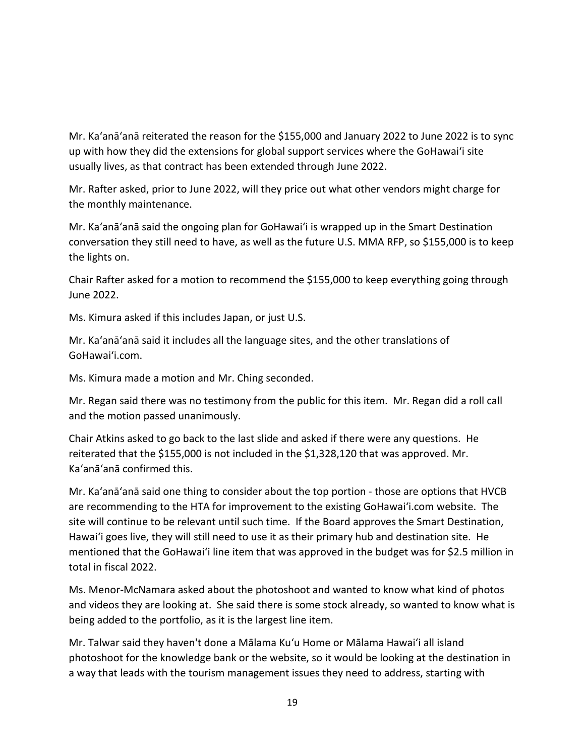Mr. Ka'anā'anā reiterated the reason for the \$155,000 and January 2022 to June 2022 is to sync up with how they did the extensions for global support services where the GoHawai'i site usually lives, as that contract has been extended through June 2022.

Mr. Rafter asked, prior to June 2022, will they price out what other vendors might charge for the monthly maintenance.

Mr. Ka'anā'anā said the ongoing plan for GoHawai'i is wrapped up in the Smart Destination conversation they still need to have, as well as the future U.S. MMA RFP, so \$155,000 is to keep the lights on.

Chair Rafter asked for a motion to recommend the \$155,000 to keep everything going through June 2022.

Ms. Kimura asked if this includes Japan, or just U.S.

Mr. Ka'anā'anā said it includes all the language sites, and the other translations of GoHawai'i.com.

Ms. Kimura made a motion and Mr. Ching seconded.

Mr. Regan said there was no testimony from the public for this item. Mr. Regan did a roll call and the motion passed unanimously.

Chair Atkins asked to go back to the last slide and asked if there were any questions. He reiterated that the \$155,000 is not included in the \$1,328,120 that was approved. Mr. Ka'anā'anā confirmed this.

Mr. Ka'anā'anā said one thing to consider about the top portion - those are options that HVCB are recommending to the HTA for improvement to the existing GoHawai'i.com website. The site will continue to be relevant until such time. If the Board approves the Smart Destination, Hawai'i goes live, they will still need to use it as their primary hub and destination site. He mentioned that the GoHawai'i line item that was approved in the budget was for \$2.5 million in total in fiscal 2022.

Ms. Menor-McNamara asked about the photoshoot and wanted to know what kind of photos and videos they are looking at. She said there is some stock already, so wanted to know what is being added to the portfolio, as it is the largest line item.

Mr. Talwar said they haven't done a Mālama Kuʻu Home or Mālama Hawai'i all island photoshoot for the knowledge bank or the website, so it would be looking at the destination in a way that leads with the tourism management issues they need to address, starting with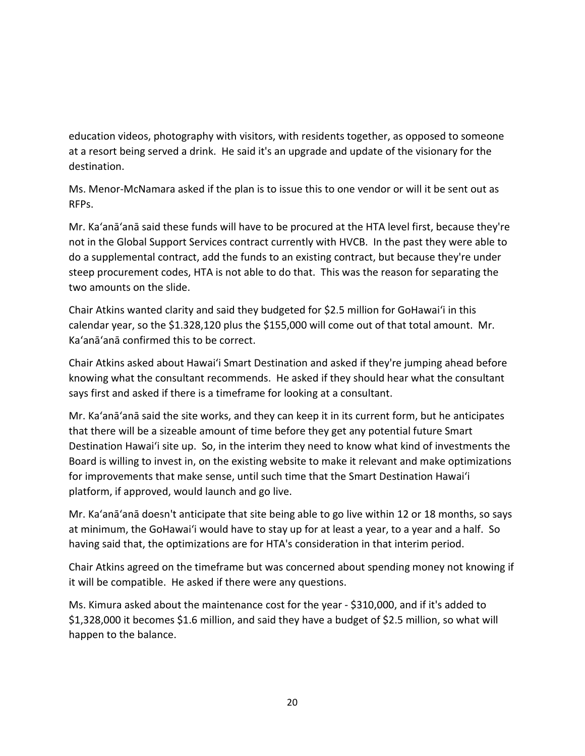education videos, photography with visitors, with residents together, as opposed to someone at a resort being served a drink. He said it's an upgrade and update of the visionary for the destination.

Ms. Menor-McNamara asked if the plan is to issue this to one vendor or will it be sent out as RFPs.

Mr. Ka'anā'anā said these funds will have to be procured at the HTA level first, because they're not in the Global Support Services contract currently with HVCB. In the past they were able to do a supplemental contract, add the funds to an existing contract, but because they're under steep procurement codes, HTA is not able to do that. This was the reason for separating the two amounts on the slide.

Chair Atkins wanted clarity and said they budgeted for \$2.5 million for GoHawai'i in this calendar year, so the \$1.328,120 plus the \$155,000 will come out of that total amount. Mr. Ka'anā'anā confirmed this to be correct.

Chair Atkins asked about Hawai'i Smart Destination and asked if they're jumping ahead before knowing what the consultant recommends. He asked if they should hear what the consultant says first and asked if there is a timeframe for looking at a consultant.

Mr. Ka'anā'anā said the site works, and they can keep it in its current form, but he anticipates that there will be a sizeable amount of time before they get any potential future Smart Destination Hawai'i site up. So, in the interim they need to know what kind of investments the Board is willing to invest in, on the existing website to make it relevant and make optimizations for improvements that make sense, until such time that the Smart Destination Hawai'i platform, if approved, would launch and go live.

Mr. Ka'anā'anā doesn't anticipate that site being able to go live within 12 or 18 months, so says at minimum, the GoHawai'i would have to stay up for at least a year, to a year and a half. So having said that, the optimizations are for HTA's consideration in that interim period.

Chair Atkins agreed on the timeframe but was concerned about spending money not knowing if it will be compatible. He asked if there were any questions.

Ms. Kimura asked about the maintenance cost for the year - \$310,000, and if it's added to \$1,328,000 it becomes \$1.6 million, and said they have a budget of \$2.5 million, so what will happen to the balance.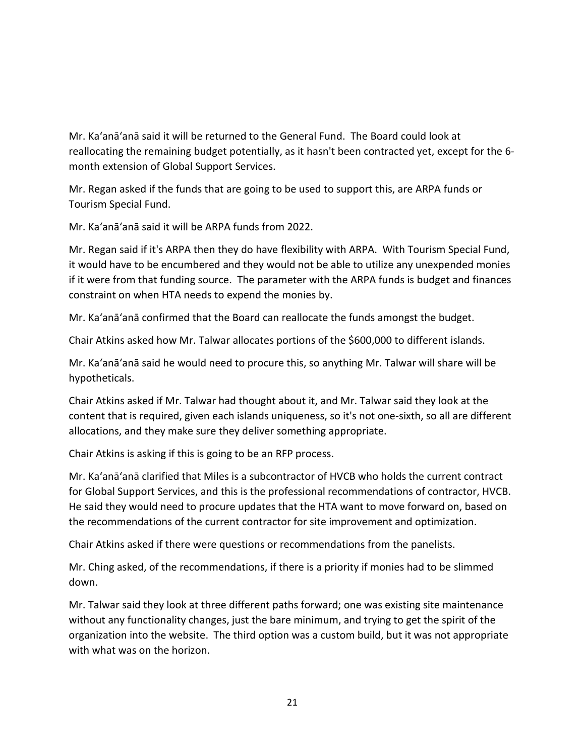Mr. Ka'anā'anā said it will be returned to the General Fund. The Board could look at reallocating the remaining budget potentially, as it hasn't been contracted yet, except for the 6 month extension of Global Support Services.

Mr. Regan asked if the funds that are going to be used to support this, are ARPA funds or Tourism Special Fund.

Mr. Ka'anā'anā said it will be ARPA funds from 2022.

Mr. Regan said if it's ARPA then they do have flexibility with ARPA. With Tourism Special Fund, it would have to be encumbered and they would not be able to utilize any unexpended monies if it were from that funding source. The parameter with the ARPA funds is budget and finances constraint on when HTA needs to expend the monies by.

Mr. Ka'anā'anā confirmed that the Board can reallocate the funds amongst the budget.

Chair Atkins asked how Mr. Talwar allocates portions of the \$600,000 to different islands.

Mr. Ka'anā'anā said he would need to procure this, so anything Mr. Talwar will share will be hypotheticals.

Chair Atkins asked if Mr. Talwar had thought about it, and Mr. Talwar said they look at the content that is required, given each islands uniqueness, so it's not one-sixth, so all are different allocations, and they make sure they deliver something appropriate.

Chair Atkins is asking if this is going to be an RFP process.

Mr. Ka'anā'anā clarified that Miles is a subcontractor of HVCB who holds the current contract for Global Support Services, and this is the professional recommendations of contractor, HVCB. He said they would need to procure updates that the HTA want to move forward on, based on the recommendations of the current contractor for site improvement and optimization.

Chair Atkins asked if there were questions or recommendations from the panelists.

Mr. Ching asked, of the recommendations, if there is a priority if monies had to be slimmed down.

Mr. Talwar said they look at three different paths forward; one was existing site maintenance without any functionality changes, just the bare minimum, and trying to get the spirit of the organization into the website. The third option was a custom build, but it was not appropriate with what was on the horizon.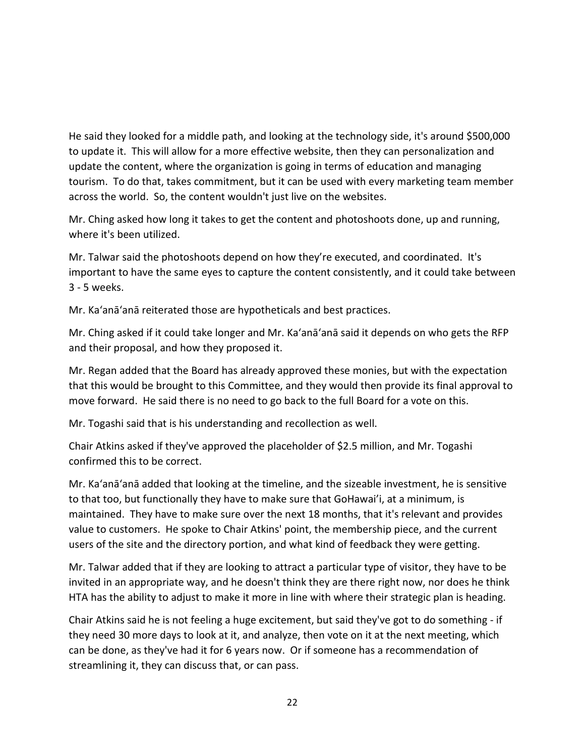He said they looked for a middle path, and looking at the technology side, it's around \$500,000 to update it. This will allow for a more effective website, then they can personalization and update the content, where the organization is going in terms of education and managing tourism. To do that, takes commitment, but it can be used with every marketing team member across the world. So, the content wouldn't just live on the websites.

Mr. Ching asked how long it takes to get the content and photoshoots done, up and running, where it's been utilized.

Mr. Talwar said the photoshoots depend on how they're executed, and coordinated. It's important to have the same eyes to capture the content consistently, and it could take between 3 - 5 weeks.

Mr. Ka'anā'anā reiterated those are hypotheticals and best practices.

Mr. Ching asked if it could take longer and Mr. Ka'anā'anā said it depends on who gets the RFP and their proposal, and how they proposed it.

Mr. Regan added that the Board has already approved these monies, but with the expectation that this would be brought to this Committee, and they would then provide its final approval to move forward. He said there is no need to go back to the full Board for a vote on this.

Mr. Togashi said that is his understanding and recollection as well.

Chair Atkins asked if they've approved the placeholder of \$2.5 million, and Mr. Togashi confirmed this to be correct.

Mr. Ka'anā'anā added that looking at the timeline, and the sizeable investment, he is sensitive to that too, but functionally they have to make sure that GoHawai'i, at a minimum, is maintained. They have to make sure over the next 18 months, that it's relevant and provides value to customers. He spoke to Chair Atkins' point, the membership piece, and the current users of the site and the directory portion, and what kind of feedback they were getting.

Mr. Talwar added that if they are looking to attract a particular type of visitor, they have to be invited in an appropriate way, and he doesn't think they are there right now, nor does he think HTA has the ability to adjust to make it more in line with where their strategic plan is heading.

Chair Atkins said he is not feeling a huge excitement, but said they've got to do something - if they need 30 more days to look at it, and analyze, then vote on it at the next meeting, which can be done, as they've had it for 6 years now. Or if someone has a recommendation of streamlining it, they can discuss that, or can pass.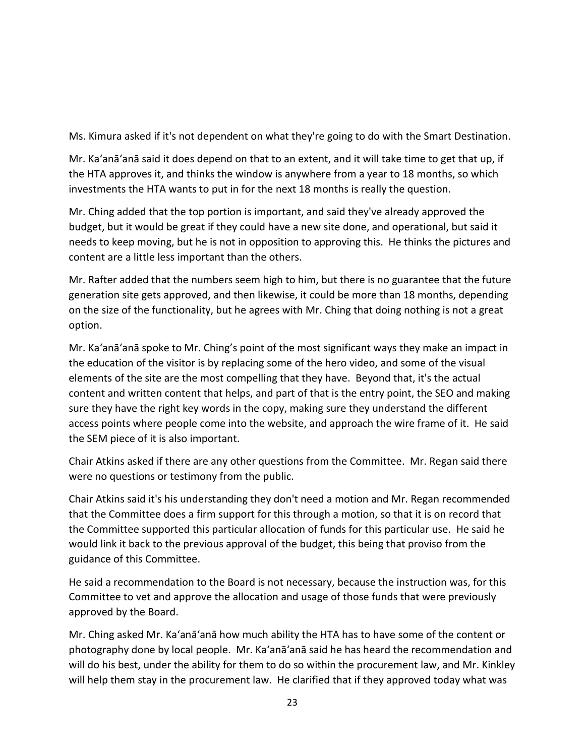Ms. Kimura asked if it's not dependent on what they're going to do with the Smart Destination.

Mr. Ka'anā'anā said it does depend on that to an extent, and it will take time to get that up, if the HTA approves it, and thinks the window is anywhere from a year to 18 months, so which investments the HTA wants to put in for the next 18 months is really the question.

Mr. Ching added that the top portion is important, and said they've already approved the budget, but it would be great if they could have a new site done, and operational, but said it needs to keep moving, but he is not in opposition to approving this. He thinks the pictures and content are a little less important than the others.

Mr. Rafter added that the numbers seem high to him, but there is no guarantee that the future generation site gets approved, and then likewise, it could be more than 18 months, depending on the size of the functionality, but he agrees with Mr. Ching that doing nothing is not a great option.

Mr. Ka'anā'anā spoke to Mr. Ching's point of the most significant ways they make an impact in the education of the visitor is by replacing some of the hero video, and some of the visual elements of the site are the most compelling that they have. Beyond that, it's the actual content and written content that helps, and part of that is the entry point, the SEO and making sure they have the right key words in the copy, making sure they understand the different access points where people come into the website, and approach the wire frame of it. He said the SEM piece of it is also important.

Chair Atkins asked if there are any other questions from the Committee. Mr. Regan said there were no questions or testimony from the public.

Chair Atkins said it's his understanding they don't need a motion and Mr. Regan recommended that the Committee does a firm support for this through a motion, so that it is on record that the Committee supported this particular allocation of funds for this particular use. He said he would link it back to the previous approval of the budget, this being that proviso from the guidance of this Committee.

He said a recommendation to the Board is not necessary, because the instruction was, for this Committee to vet and approve the allocation and usage of those funds that were previously approved by the Board.

Mr. Ching asked Mr. Ka'anā'anā how much ability the HTA has to have some of the content or photography done by local people. Mr. Ka'anā'anā said he has heard the recommendation and will do his best, under the ability for them to do so within the procurement law, and Mr. Kinkley will help them stay in the procurement law. He clarified that if they approved today what was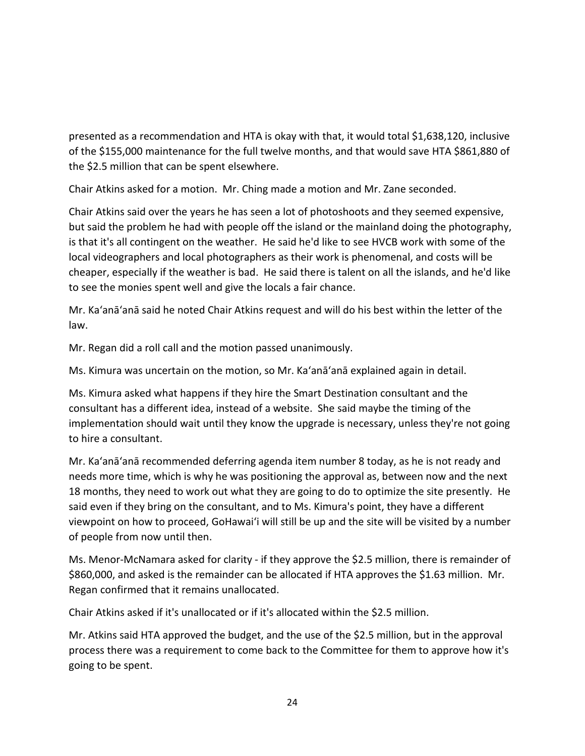presented as a recommendation and HTA is okay with that, it would total \$1,638,120, inclusive of the \$155,000 maintenance for the full twelve months, and that would save HTA \$861,880 of the \$2.5 million that can be spent elsewhere.

Chair Atkins asked for a motion. Mr. Ching made a motion and Mr. Zane seconded.

Chair Atkins said over the years he has seen a lot of photoshoots and they seemed expensive, but said the problem he had with people off the island or the mainland doing the photography, is that it's all contingent on the weather. He said he'd like to see HVCB work with some of the local videographers and local photographers as their work is phenomenal, and costs will be cheaper, especially if the weather is bad. He said there is talent on all the islands, and he'd like to see the monies spent well and give the locals a fair chance.

Mr. Ka'anā'anā said he noted Chair Atkins request and will do his best within the letter of the law.

Mr. Regan did a roll call and the motion passed unanimously.

Ms. Kimura was uncertain on the motion, so Mr. Ka'anā'anā explained again in detail.

Ms. Kimura asked what happens if they hire the Smart Destination consultant and the consultant has a different idea, instead of a website. She said maybe the timing of the implementation should wait until they know the upgrade is necessary, unless they're not going to hire a consultant.

Mr. Ka'anā'anā recommended deferring agenda item number 8 today, as he is not ready and needs more time, which is why he was positioning the approval as, between now and the next 18 months, they need to work out what they are going to do to optimize the site presently. He said even if they bring on the consultant, and to Ms. Kimura's point, they have a different viewpoint on how to proceed, GoHawai'i will still be up and the site will be visited by a number of people from now until then.

Ms. Menor-McNamara asked for clarity - if they approve the \$2.5 million, there is remainder of \$860,000, and asked is the remainder can be allocated if HTA approves the \$1.63 million. Mr. Regan confirmed that it remains unallocated.

Chair Atkins asked if it's unallocated or if it's allocated within the \$2.5 million.

Mr. Atkins said HTA approved the budget, and the use of the \$2.5 million, but in the approval process there was a requirement to come back to the Committee for them to approve how it's going to be spent.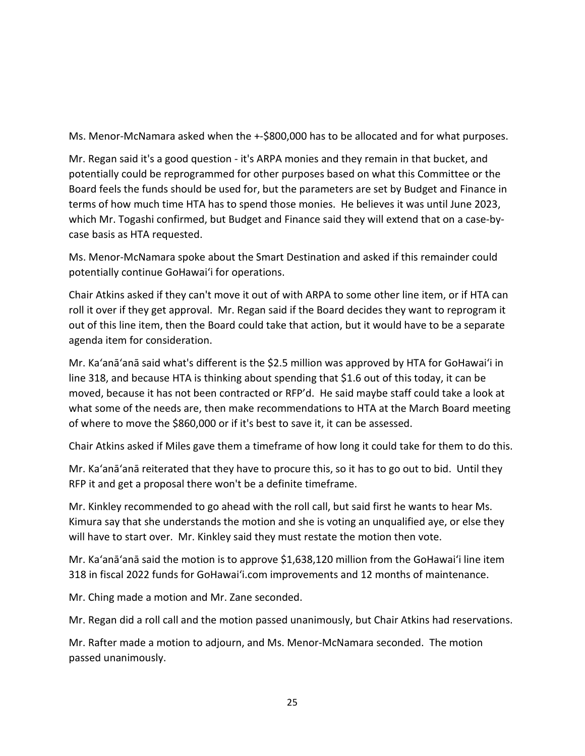Ms. Menor-McNamara asked when the +-\$800,000 has to be allocated and for what purposes.

Mr. Regan said it's a good question - it's ARPA monies and they remain in that bucket, and potentially could be reprogrammed for other purposes based on what this Committee or the Board feels the funds should be used for, but the parameters are set by Budget and Finance in terms of how much time HTA has to spend those monies. He believes it was until June 2023, which Mr. Togashi confirmed, but Budget and Finance said they will extend that on a case-bycase basis as HTA requested.

Ms. Menor-McNamara spoke about the Smart Destination and asked if this remainder could potentially continue GoHawai'i for operations.

Chair Atkins asked if they can't move it out of with ARPA to some other line item, or if HTA can roll it over if they get approval. Mr. Regan said if the Board decides they want to reprogram it out of this line item, then the Board could take that action, but it would have to be a separate agenda item for consideration.

Mr. Ka'anā'anā said what's different is the \$2.5 million was approved by HTA for GoHawai'i in line 318, and because HTA is thinking about spending that \$1.6 out of this today, it can be moved, because it has not been contracted or RFP'd. He said maybe staff could take a look at what some of the needs are, then make recommendations to HTA at the March Board meeting of where to move the \$860,000 or if it's best to save it, it can be assessed.

Chair Atkins asked if Miles gave them a timeframe of how long it could take for them to do this.

Mr. Ka'anā'anā reiterated that they have to procure this, so it has to go out to bid. Until they RFP it and get a proposal there won't be a definite timeframe.

Mr. Kinkley recommended to go ahead with the roll call, but said first he wants to hear Ms. Kimura say that she understands the motion and she is voting an unqualified aye, or else they will have to start over. Mr. Kinkley said they must restate the motion then vote.

Mr. Ka'anā'anā said the motion is to approve \$1,638,120 million from the GoHawai'i line item 318 in fiscal 2022 funds for GoHawai'i.com improvements and 12 months of maintenance.

Mr. Ching made a motion and Mr. Zane seconded.

Mr. Regan did a roll call and the motion passed unanimously, but Chair Atkins had reservations.

Mr. Rafter made a motion to adjourn, and Ms. Menor-McNamara seconded. The motion passed unanimously.